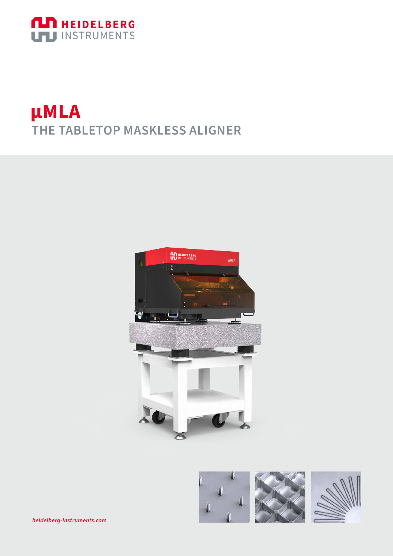

## **µMLA** THE TABLETOP MASKLESS ALIGNER



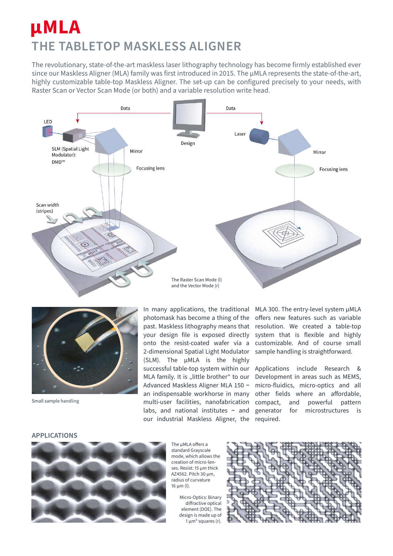## **μMLA THE TABLETOP MASKLESS ALIGNER**

The revolutionary, state-of-the-art maskless laser lithography technology has become firmly established ever since our Maskless Aligner (MLA) family was first introduced in 2015. The μMLA represents the state-of-the-art, highly customizable table-top Maskless Aligner. The set-up can be configured precisely to your needs, with Raster Scan or Vector Scan Mode (or both) and a variable resolution write head.





Small sample handling

In many applications, the traditional photomask has become a thing of the past. Maskless lithography means that your design file is exposed directly onto the resist-coated wafer via a 2-dimensional Spatial Light Modulator (SLM). The µMLA is the highly successful table-top system within our MLA family. It is "little brother" to our Advanced Maskless Aligner MLA 150 **−** an indispensable workhorse in many multi-user facilities, nanofabrication labs, and national institutes **−** and our industrial Maskless Aligner, the

MLA 300. The entry-level system µMLA offers new features such as variable resolution. We created a table-top system that is flexible and highly customizable. And of course small sample handling is straightforward.

Applications include Research & Development in areas such as MEMS, micro-fluidics, micro-optics and all other fields where an affordable, compact, and powerful pattern generator for microstructures is required.

#### **APPLICATIONS**



The μMLA offers a standard Grayscale mode, which allows the creation of micro-lenses. Resist: 15 μm thick AZ4562. Pitch 30 μm, radius of curvature 16 μm (l).

Micro-Optics: Binary diffractive optical element (DOE). The design is made up of  $1 \mu m^2$  squares (r).

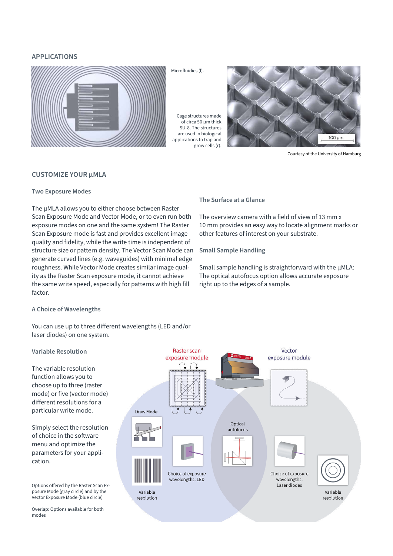## **APPLICATIONS**



Microfluidics (l).

Cage structures made of circa 50 µm thick SU-8. The structures are used in biological applications to trap and grow cells (r).



Courtesy of the University of Hamburg

## **CUSTOMIZE YOUR μMLA**

## **Two Exposure Modes**

The μMLA allows you to either choose between Raster Scan Exposure Mode and Vector Mode, or to even run both exposure modes on one and the same system! The Raster Scan Exposure mode is fast and provides excellent image quality and fidelity, while the write time is independent of structure size or pattern density. The Vector Scan Mode can generate curved lines (e.g. waveguides) with minimal edge roughness. While Vector Mode creates similar image quality as the Raster Scan exposure mode, it cannot achieve the same write speed, especially for patterns with high fill factor.

#### **The Surface at a Glance**

The overview camera with a field of view of 13 mm x 10 mm provides an easy way to locate alignment marks or other features of interest on your substrate.

### **Small Sample Handling**

Small sample handling is straightforward with the μMLA: The optical autofocus option allows accurate exposure right up to the edges of a sample.

### **A Choice of Wavelengths**

You can use up to three different wavelengths (LED and/or laser diodes) on one system.

## **Variable Resolution**

The variable resolution function allows you to choose up to three (raster mode) or five (vector mode) different resolutions for a particular write mode.

Simply select the resolution of choice in the software menu and optimize the parameters for your application.

Options offered by the Raster Scan Exposure Mode (gray circle) and by the Vector Exposure Mode (blue circle)

Overlap: Options available for both modes